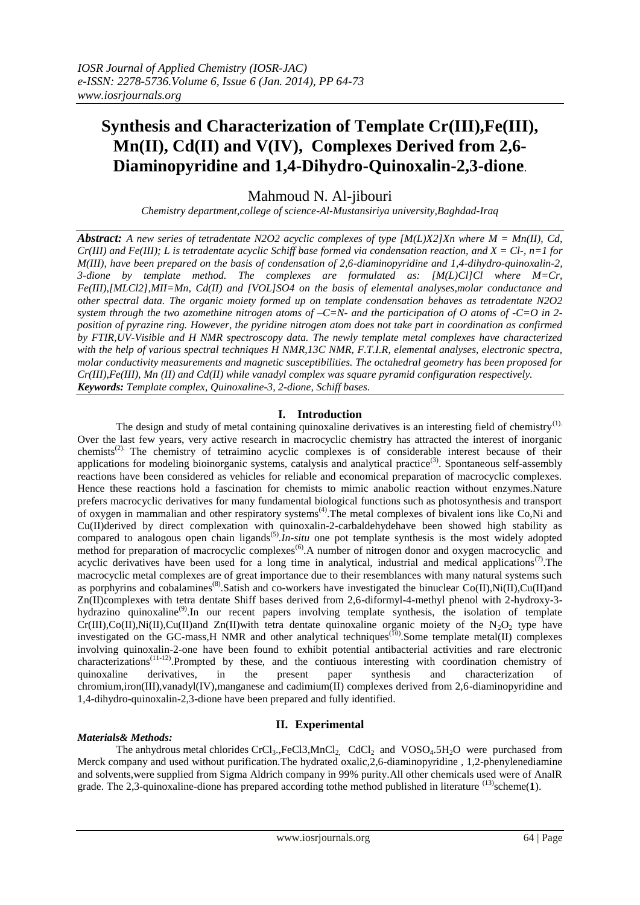# **Synthesis and Characterization of Template Cr(III),Fe(III), Mn(II), Cd(II) and V(IV), Complexes Derived from 2,6- Diaminopyridine and 1,4-Dihydro-Quinoxalin-2,3-dione**.

Mahmoud N. Al-jibouri

*Chemistry department,college of science-Al-Mustansiriya university,Baghdad-Iraq*

*Abstract: A new series of tetradentate N2O2 acyclic complexes of type [M(L)X2]Xn where M = Mn(II), Cd, Cr(III) and Fe(III); L is tetradentate acyclic Schiff base formed via condensation reaction, and X = Cl-, n=1 for M(III), have been prepared on the basis of condensation of 2,6-diaminopyridine and 1,4-dihydro-quinoxalin-2, 3-dione by template method. The complexes are formulated as: [M(L)Cl]Cl where M=Cr, Fe(III),[MLCl2],MII=Mn, Cd(II) and [VOL]SO4 on the basis of elemental analyses,molar conductance and other spectral data. The organic moiety formed up on template condensation behaves as tetradentate N2O2 system through the two azomethine nitrogen atoms of –C=N- and the participation of O atoms of -C=O in 2 position of pyrazine ring. However, the pyridine nitrogen atom does not take part in coordination as confirmed by FTIR,UV-Visible and H NMR spectroscopy data. The newly template metal complexes have characterized with the help of various spectral techniques H NMR,13C NMR, F.T.I.R, elemental analyses, electronic spectra, molar conductivity measurements and magnetic susceptibilities. The octahedral geometry has been proposed for Cr(III),Fe(III), Mn (II) and Cd(II) while vanadyl complex was square pyramid configuration respectively. Keywords: Template complex, Quinoxaline-3, 2-dione, Schiff bases.*

## **I. Introduction**

The design and study of metal containing quinoxaline derivatives is an interesting field of chemistry<sup>(1).</sup> Over the last few years, very active research in macrocyclic chemistry has attracted the interest of inorganic chemists(2). The chemistry of tetraimino acyclic complexes is of considerable interest because of their applications for modeling bioinorganic systems, catalysis and analytical practice<sup>(3)</sup>. Spontaneous self-assembly reactions have been considered as vehicles for reliable and economical preparation of macrocyclic complexes. Hence these reactions hold a fascination for chemists to mimic anabolic reaction without enzymes.Nature prefers macrocyclic derivatives for many fundamental biological functions such as photosynthesis and transport of oxygen in mammalian and other respiratory systems<sup>(4)</sup>. The metal complexes of bivalent ions like Co,Ni and Cu(II)derived by direct complexation with quinoxalin-2-carbaldehydehave been showed high stability as compared to analogous open chain ligands<sup>(5)</sup>. *In-situ* one pot template synthesis is the most widely adopted method for preparation of macrocyclic complexes<sup>(6)</sup>. A number of nitrogen donor and oxygen macrocyclic and acyclic derivatives have been used for a long time in analytical, industrial and medical applications<sup>(7)</sup>. The macrocyclic metal complexes are of great importance due to their resemblances with many natural systems such as porphyrins and cobalamines<sup>(8)</sup>. Satish and co-workers have investigated the binuclear Co(II), Ni(II), Cu(II)and Zn(II)complexes with tetra dentate Shiff bases derived from 2,6-diformyl-4-methyl phenol with 2-hydroxy-3 hydrazino quinoxaline<sup>(9)</sup>. In our recent papers involving template synthesis, the isolation of template Cr(III),Co(II),Ni(II),Cu(II)and Zn(II)with tetra dentate quinoxaline organic moiety of the  $N_2O_2$  type have investigated on the GC-mass, H NMR and other analytical techniques<sup>(10)</sup>. Some template metal(II) complexes involving quinoxalin-2-one have been found to exhibit potential antibacterial activities and rare electronic characterizations<sup>(11-12)</sup>.Prompted by these, and the contiuous interesting with coordination chemistry of quinoxaline derivatives, in the present paper synthesis and characterization of chromium,iron(III),vanadyl(IV),manganese and cadimium(II) complexes derived from 2,6-diaminopyridine and 1,4-dihydro-quinoxalin-2,3-dione have been prepared and fully identified.

## **II. Experimental**

## *Materials& Methods:*

The anhydrous metal chlorides  $CrCl_3$ ,  $FeCl_3$ ,  $MnCl_2$ ,  $CdCl_2$  and  $VOSO_4$ .  $5H_2O$  were purchased from Merck company and used without purification.The hydrated oxalic,2,6-diaminopyridine , 1,2-phenylenediamine and solvents,were supplied from Sigma Aldrich company in 99% purity.All other chemicals used were of AnalR grade. The 2,3-quinoxaline-dione has prepared according tothe method published in literature <sup>(13)</sup>scheme(1).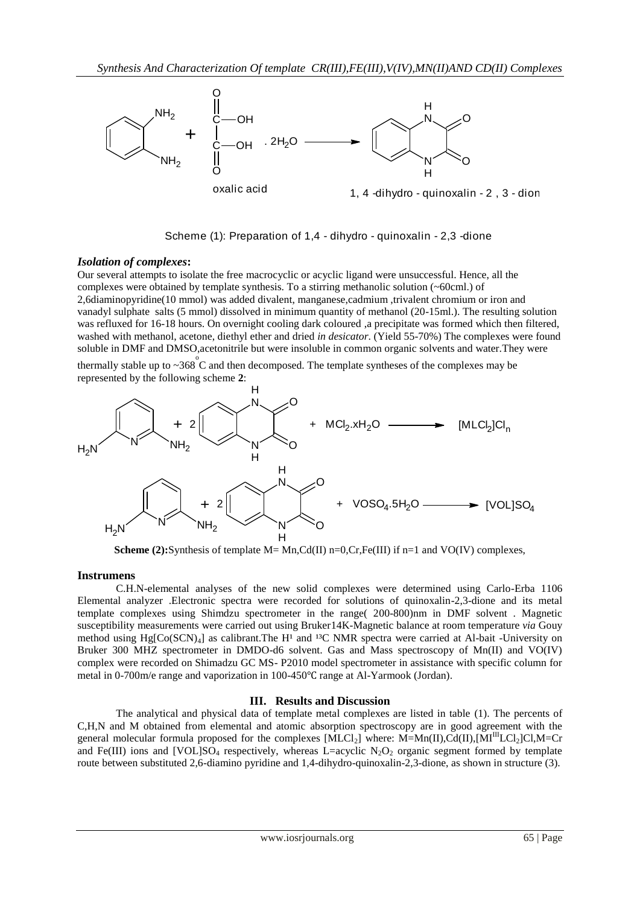

Scheme (1): Preparation of 1,4 - dihydro - quinoxalin - 2,3 -dione

## *Isolation of complexes***:**

Our several attempts to isolate the free macrocyclic or acyclic ligand were unsuccessful. Hence, all the complexes were obtained by template synthesis. To a stirring methanolic solution (~60cml.) of 2,6diaminopyridine(10 mmol) was added divalent, manganese,cadmium ,trivalent chromium or iron and vanadyl sulphate salts (5 mmol) dissolved in minimum quantity of methanol (20-15ml.). The resulting solution was refluxed for 16-18 hours. On overnight cooling dark coloured ,a precipitate was formed which then filtered, washed with methanol, acetone, diethyl ether and dried *in desicator*. (Yield 55-70%) The complexes were found soluble in DMF and DMSO,acetonitrile but were insoluble in common organic solvents and water.They were

thermally stable up to  $\sim 368^{\circ}$ C and then decomposed. The template syntheses of the complexes may be represented by the following scheme **2**:



**Scheme (2):**Synthesis of template  $M = Mn$ , $Cd(II)$   $n=0$ , $Cr$ , $Fe(III)$  if  $n=1$  and VO(IV) complexes,

## **Instrumens**

C.H.N-elemental analyses of the new solid complexes were determined using Carlo-Erba 1106 Elemental analyzer .Electronic spectra were recorded for solutions of quinoxalin-2,3-dione and its metal template complexes using Shimdzu spectrometer in the range( 200-800)nm in DMF solvent . Magnetic susceptibility measurements were carried out using Bruker14K-Magnetic balance at room temperature *via* Gouy method using  $Hg[Co(SCN)_4]$  as calibrant. The H<sup>1</sup> and <sup>13</sup>C NMR spectra were carried at Al-bait -University on Bruker 300 MHZ spectrometer in DMDO-d6 solvent. Gas and Mass spectroscopy of Mn(II) and VO(IV) complex were recorded on Shimadzu GC MS- P2010 model spectrometer in assistance with specific column for metal in 0-700m/e range and vaporization in 100-450℃ range at Al-Yarmook (Jordan).

## **III. Results and Discussion**

The analytical and physical data of template metal complexes are listed in table (1). The percents of C,H,N and M obtained from elemental and atomic absorption spectroscopy are in good agreement with the general molecular formula proposed for the complexes  $[MLCl_2]$  where: M=Mn(II),Cd(II), $[MI^III_{\text{LC}}]$ Cl,M=Cr and Fe(III) ions and [VOL]SO<sub>4</sub> respectively, whereas L=acyclic N<sub>2</sub>O<sub>2</sub> organic segment formed by template route between substituted 2,6-diamino pyridine and 1,4-dihydro-quinoxalin-2,3-dione, as shown in structure (3).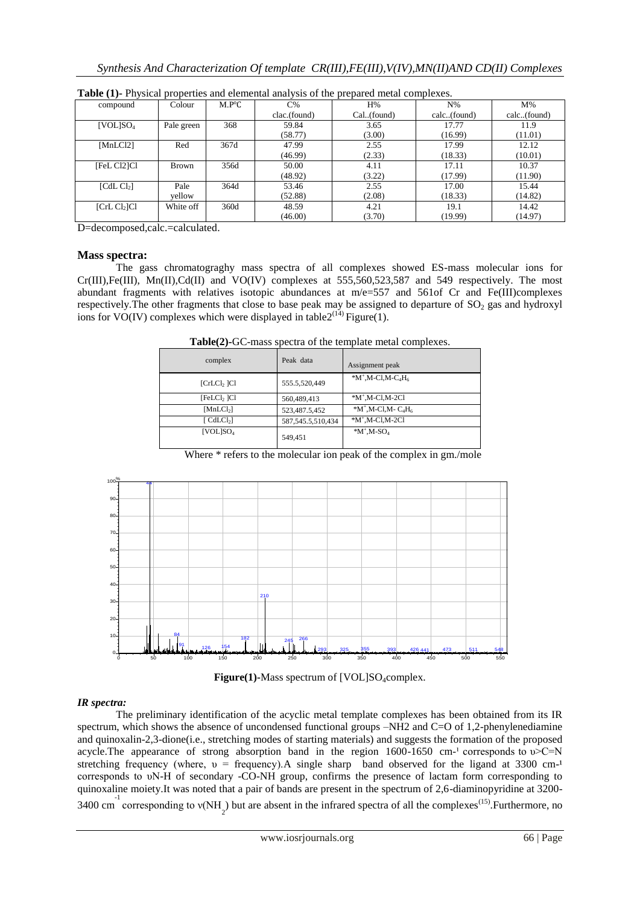| compound               | Colour       | $M.P^{\circ}C$ | $C\%$        | H%           | $N\%$       | $M\%$       |
|------------------------|--------------|----------------|--------------|--------------|-------------|-------------|
|                        |              |                | clac.(found) | Cal. (found) | calc(found) | calc(found) |
| [VOL]SO <sub>4</sub>   | Pale green   | 368            | 59.84        | 3.65         | 17.77       | 11.9        |
|                        |              |                | (58.77)      | (3.00)       | (16.99)     | (11.01)     |
| [MLCl2]                | Red          | 367d           | 47.99        | 2.55         | 17.99       | 12.12       |
|                        |              |                | (46.99)      | (2.33)       | (18.33)     | (10.01)     |
| [FeL Cl2]Cl            | <b>Brown</b> | 356d           | 50.00        | 4.11         | 17.11       | 10.37       |
|                        |              |                | (48.92)      | (3.22)       | (17.99)     | (11.90)     |
| [CdL Cl <sub>2</sub> ] | Pale         | 364d           | 53.46        | 2.55         | 17.00       | 15.44       |
|                        | yellow       |                | (52.88)      | (2.08)       | (18.33)     | (14.82)     |
| [ChC1 <sub>2</sub> ]Cl | White off    | 360d           | 48.59        | 4.21         | 19.1        | 14.42       |
|                        |              |                | (46.00)      | (3.70)       | (19.99)     | (14.97)     |

**Table (1)-** Physical properties and elemental analysis of the prepared metal complexes.

D=decomposed,calc.=calculated.

### **Mass spectra:**

The gass chromatograghy mass spectra of all complexes showed ES-mass molecular ions for  $Cr(III),Fe(III), Mn(II),Cd(II)$  and  $VO(IV)$  complexes at 555,560,523,587 and 549 respectively. The most abundant fragments with relatives isotopic abundances at  $m/e=557$  and  $561$  Cr and Fe(III)complexes respectively. The other fragments that close to base peak may be assigned to departure of  $SO_2$  gas and hydroxyl ions for VO(IV) complexes which were displayed in table  $2^{(14)}$  Figure(1).

| <b>Table(2)-GC-mass spectra of the template metal complexes.</b> |  |  |
|------------------------------------------------------------------|--|--|
|                                                                  |  |  |

| complex                              | Peak data             | Assignment peak                                |
|--------------------------------------|-----------------------|------------------------------------------------|
| [CrLC1,  Cl]                         | 555.5,520,449         | $*M^+$ , M-Cl, M-C <sub>4</sub> H <sub>6</sub> |
| [FeLCl <sub>2</sub> ]Cl              | 560,489,413           | $*M$ <sup>+</sup> ,M-Cl,M-2Cl                  |
| [MnLCl <sub>2</sub> ]                | 523,487.5,452         | $*M^+$ , M-Cl, M-C <sub>4</sub> H <sub>6</sub> |
| $\lceil$ CdLCl <sub>2</sub> $\rceil$ | 587, 545. 5, 510, 434 | $*M$ <sup>+</sup> ,M-Cl,M-2Cl                  |
| [VOL]SO <sub>4</sub>                 | 549,451               | $*M^+$ , M-SO <sub>4</sub>                     |

Where  $*$  refers to the molecular ion peak of the complex in gm./mole



Figure(1)-Mass spectrum of [VOL]SO<sub>4</sub>complex.

## *IR spectra:*

The preliminary identification of the acyclic metal template complexes has been obtained from its IR spectrum, which shows the absence of uncondensed functional groups –NH2 and C=O of 1.2-phenylenediamine and quinoxalin-2,3-dione(i.e., stretching modes of starting materials) and suggests the formation of the proposed acycle. The appearance of strong absorption band in the region  $1600-1650$  cm<sup>-1</sup> corresponds to  $v > C = N$ stretching frequency (where,  $v =$  frequency). A single sharp band observed for the ligand at 3300 cm-<sup>1</sup> corresponds to υN-H of secondary -CO-NH group, confirms the presence of lactam form corresponding to quinoxaline moiety.It was noted that a pair of bands are present in the spectrum of 2,6-diaminopyridine at 3200- 3400 cm<sup>-1</sup> corresponding to  $v(NH_2)$  but are absent in the infrared spectra of all the complexes<sup>(15)</sup>. Furthermore, no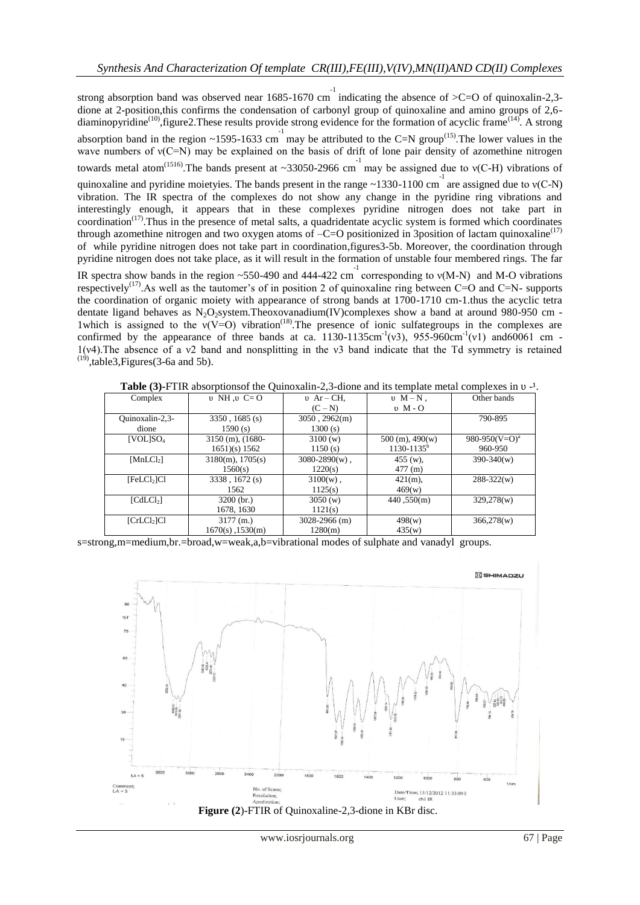strong absorption band was observed near 1685-1670 cm indicating the absence of  $>C=O$  of quinoxalin-2,3dione at 2-position,this confirms the condensation of carbonyl group of quinoxaline and amino groups of 2,6 diaminopyridine<sup>(10)</sup>, figure2. These results provide strong evidence for the formation of acyclic frame<sup>(14)</sup>. A strong absorption band in the region ~1595-1633 cm may be attributed to the C=N group<sup>(15)</sup>. The lower values in the wave numbers of  $v(C=N)$  may be explained on the basis of drift of lone pair density of azomethine nitrogen towards metal atom<sup>(1516)</sup>. The bands present at ~33050-2966 cm<sup>-1</sup> may be assigned due to v(C-H) vibrations of quinoxaline and pyridine moietyies. The bands present in the range ~1330-1100 cm<sup>-1</sup> are assigned due to  $v(C-N)$ vibration. The IR spectra of the complexes do not show any change in the pyridine ring vibrations and interestingly enough, it appears that in these complexes pyridine nitrogen does not take part in  $coordination<sup>(17)</sup>$ . Thus in the presence of metal salts, a quadridentate acyclic system is formed which coordinates through azomethine nitrogen and two oxygen atoms of  $-C=O$  positionized in 3position of lactam quinoxaline<sup>(17)</sup> of while pyridine nitrogen does not take part in coordination,figures3-5b. Moreover, the coordination through pyridine nitrogen does not take place, as it will result in the formation of unstable four membered rings. The far IR spectra show bands in the region ~550-490 and 444-422 cm<sup>-1</sup> corresponding to  $v(M-N)$  and M-O vibrations respectively<sup>(17)</sup>. As well as the tautomer's of in position 2 of quinoxaline ring between C=O and C=N- supports the coordination of organic moiety with appearance of strong bands at 1700-1710 cm-1.thus the acyclic tetra dentate ligand behaves as N<sub>2</sub>O<sub>2</sub>system.Theoxovanadium(IV)complexes show a band at around 980-950 cm -1which is assigned to the  $v(V=O)$  vibration<sup>(18)</sup>. The presence of ionic sulfategroups in the complexes are confirmed by the appearance of three bands at ca.  $1130-1135$ cm<sup>-1</sup>(v3), 955-960cm<sup>-1</sup>(v1) and60061 cm -1(ν4).The absence of a ν2 band and nonsplitting in the ν3 band indicate that the Td symmetry is retained  $(19)$ ,table3, Figures(3-6a and 5b).

| <b>Table</b> (9)-1 TIR absorptions of the Quinoxann-2, J-drone and its template metal complexes in 0 |                       |                   |                     |                           |  |
|------------------------------------------------------------------------------------------------------|-----------------------|-------------------|---------------------|---------------------------|--|
| Complex                                                                                              | $\nu$ NH $\nu$ C=O    | $v$ Ar – CH,      | $v \ M - N$ .       | Other bands               |  |
|                                                                                                      |                       | $(C-N)$           | $\upsilon$ M - O    |                           |  |
| Ouinoxalin-2,3-                                                                                      | $3350, 1685$ (s)      | 3050, 2962(m)     |                     | 790-895                   |  |
| dione                                                                                                | 1590(s)               | 1300(s)           |                     |                           |  |
| [VOL]SO <sub>4</sub>                                                                                 | $3150$ (m), $(1680 -$ | 3100(w)           | $500$ (m), $490(w)$ | 980-950(V=O) <sup>a</sup> |  |
|                                                                                                      | $1651$ (s) 1562       | 1150(s)           | $1130 - 1135^b$     | 960-950                   |  |
| $[MLCl_2]$                                                                                           | $3180(m)$ , $1705(s)$ | $3080-2890(w)$ ,  | $455$ (w),          | $390 - 340(w)$            |  |
|                                                                                                      | 1560(s)               | 1220(s)           | 477(m)              |                           |  |
| [FeLCl <sub>2</sub> ]Cl                                                                              | 3338, 1672 (s)        | $3100(w)$ ,       | $421(m)$ ,          | $288 - 322(w)$            |  |
|                                                                                                      | 1562                  | 1125(s)           | 469(w)              |                           |  |
| [CdLC1 <sub>2</sub> ]                                                                                | $3200$ (br.)          | 3050(w)           | 440,550(m)          | 329,278(w)                |  |
|                                                                                                      | 1678, 1630            | 1121(s)           |                     |                           |  |
| [CrLCl <sub>2</sub> ]Cl                                                                              | 3177(m.)              | $3028 - 2966$ (m) | 498(w)              | 366,278(w)                |  |
|                                                                                                      | $1670(s)$ , $1530(m)$ | 1280(m)           | 435(w)              |                           |  |

**Table (3)** FTIR absorptions of the Quinoxalin-2,3-dione and its template metal complexes in v. 1

s=strong,m=medium,br.=broad,w=weak,a,b=vibrational modes of sulphate and vanadyl groups.

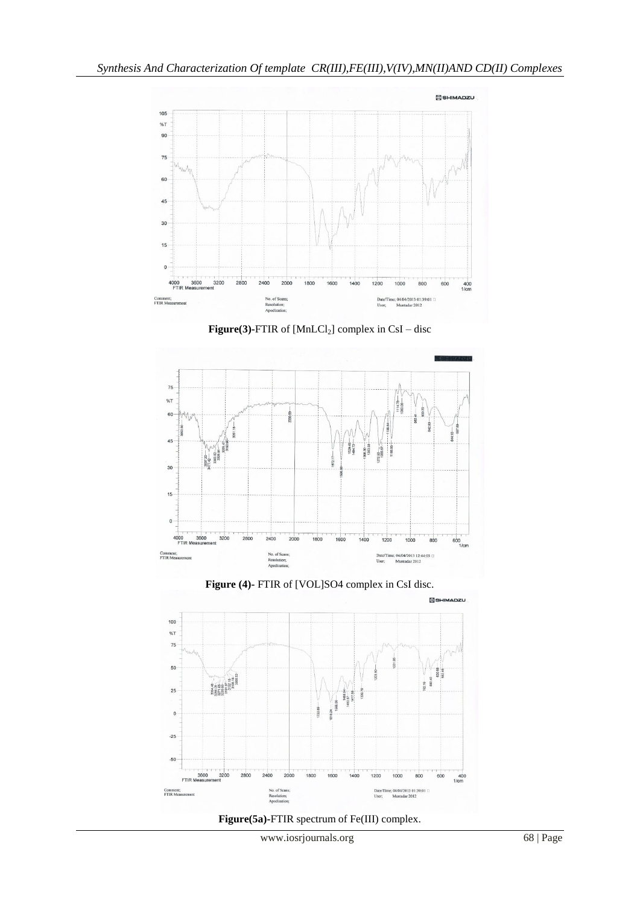









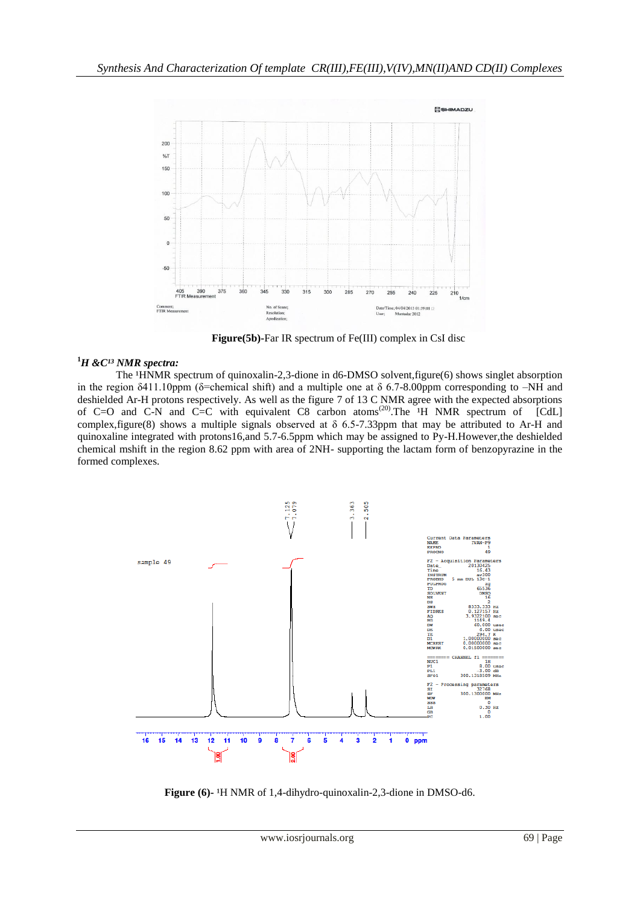

 **Figure(5b)-**Far IR spectrum of Fe(III) complex in CsI disc

## <sup>1</sup>H & C<sup>13</sup> NMR spectra:

The  $HNNR$  spectrum of quinoxalin-2,3-dione in d6-DMSO solvent, figure(6) shows singlet absorption in the region  $\delta$ 411.10ppm ( $\delta$ =chemical shift) and a multiple one at  $\delta$  6.7-8.00ppm corresponding to –NH and deshielded Ar-H protons respectively. As well as the figure 7 of 13 C NMR agree with the expected absorptions of C=O and C-N and C=C with equivalent C8 carbon atoms<sup>(20)</sup>. The  $H$  NMR spectrum of [CdL] complex, figure(8) shows a multiple signals observed at  $\delta$  6.5-7.33ppm that may be attributed to Ar-H and quinoxaline integrated with protons16,and 5.7-6.5ppm which may be assigned to Py-H.However,the deshielded chemical mshift in the region 8.62 ppm with area of 2NH- supporting the lactam form of benzopyrazine in the formed complexes.



**Figure** (6)-<sup>1</sup>H NMR of 1,4-dihydro-quinoxalin-2,3-dione in DMSO-d6.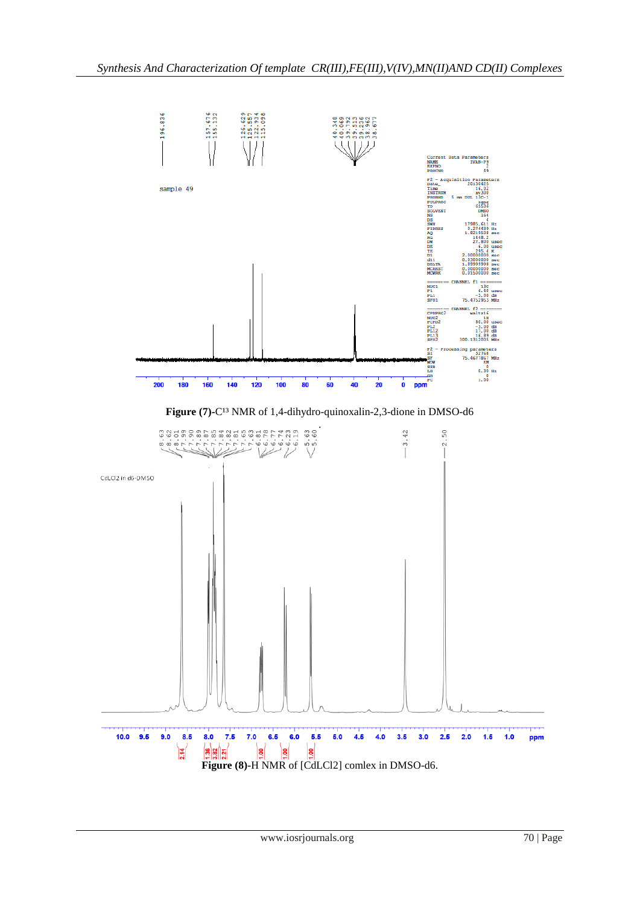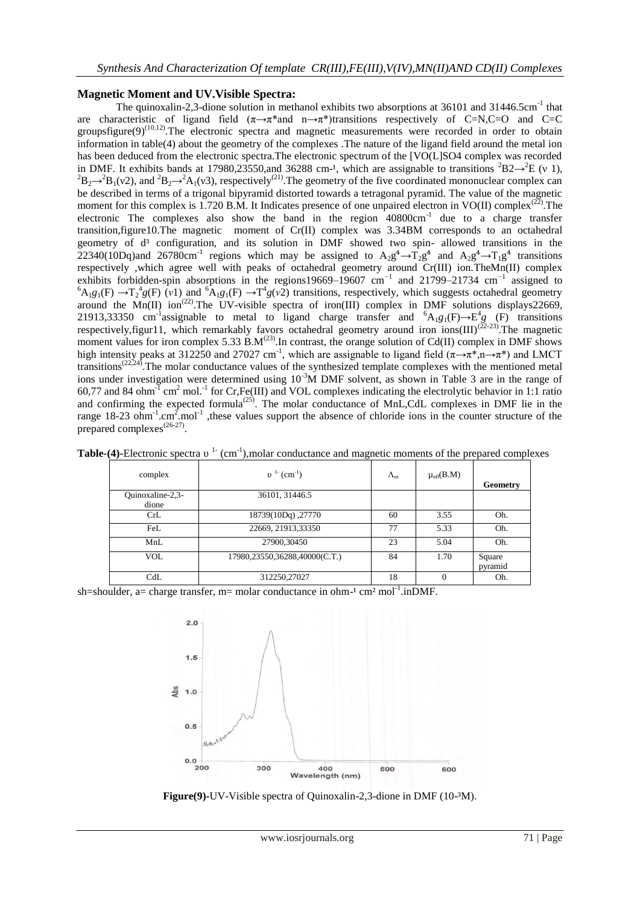## **Magnetic Moment and UV.Visible Spectra:**

The quinoxalin-2,3-dione solution in methanol exhibits two absorptions at 36101 and 31446.5cm<sup>-1</sup> that are characteristic of ligand field  $(\pi \rightarrow \pi^*)$  transitions respectively of C=N,C=O and C=C groupsfigure(9)<sup>(10,12)</sup>. The electronic spectra and magnetic measurements were recorded in order to obtain information in table(4) about the geometry of the complexes .The nature of the ligand field around the metal ion has been deduced from the electronic spectra. The electronic spectrum of the [VO(L]SO4 complex was recorded in DMF. It exhibits bands at 17980,23550,and 36288 cm-<sup>1</sup>, which are assignable to transitions <sup>2</sup>B2 $\rightarrow$ <sup>2</sup>E (v 1),  ${}^{2}B_{2} \rightarrow {}^{2}B_{1}(\nu 2)$ , and  ${}^{2}B_{2} \rightarrow {}^{2}A_{1}(\nu 3)$ , respectively<sup>(21)</sup>. The geometry of the five coordinated mononuclear complex can be described in terms of a trigonal bipyramid distorted towards a tetragonal pyramid. The value of the magnetic moment for this complex is 1.720 B.M. It Indicates presence of one unpaired electron in VO(II) complex<sup>(22)</sup>. The electronic The complexes also show the band in the region 40800cm<sup>-1</sup> due to a charge transfer transition,figure10.The magnetic moment of Cr(II) complex was 3.34BM corresponds to an octahedral geometry of d<sup>3</sup> configuration, and its solution in DMF showed two spin- allowed transitions in the 22340(10Dq)and 26780cm<sup>-1</sup> regions which may be assigned to  $A_2g^4 \rightarrow T_2g^4$  and  $A_2g^4 \rightarrow T_1g^4$  transitions respectively ,which agree well with peaks of octahedral geometry around Cr(III) ion.TheMn(II) complex exhibits forbidden-spin absorptions in the regions19669–19607 cm*<sup>−</sup>*<sup>1</sup> and 21799–21734 cm*<sup>−</sup>*<sup>1</sup> assigned to  ${}^6A_1g_1(F) \rightarrow T_2^4g(F)$  (*v*1) and  ${}^6A_1g_1(F) \rightarrow T^4g(v^2)$  transitions, respectively, which suggests octahedral geometry around the Mn(II) ion<sup>(22)</sup>. The UV-visible spectra of iron(III) complex in DMF solutions displays22669, 21913,33350 cm<sup>-1</sup>assignable to metal to ligand charge transfer and  ${}^{6}A_{1}g_{1}(F) \rightarrow E^{4}g$  (F) transitions respectively, figur11, which remarkably favors octahedral geometry around iron ions(III)<sup>(22-23)</sup>. The magnetic moment values for iron complex 5.33  $\text{B.M}^{(23)}$ . In contrast, the orange solution of Cd(II) complex in DMF shows high intensity peaks at 312250 and 27027 cm<sup>-1</sup>, which are assignable to ligand field ( $\pi \rightarrow \pi^*$ ,  $n \rightarrow \pi^*$ ) and LMCT transitions<sup> $(22,24)$ </sup>. The molar conductance values of the synthesized template complexes with the mentioned metal ions under investigation were determined using 10<sup>-3</sup>M DMF solvent, as shown in Table 3 are in the range of 60,77 and 84 ohm<sup>-1</sup> cm<sup>2</sup> mol.<sup>-1</sup> for Cr,Fe(III) and VOL complexes indicating the electrolytic behavior in 1:1 ratio and confirming the expected formula<sup> $(25)$ </sup>. The molar conductance of MnL,CdL complexes in DMF lie in the range 18-23 ohm<sup>-1</sup>.cm<sup>2</sup>.mol<sup>-1</sup> these values support the absence of chloride ions in the counter structure of the prepared complexes<sup>(26-27)</sup>.

| complex                   | $v^{1}$ (cm <sup>-1</sup> )   | $\Lambda_{m}$ | $\mu_{\text{eff}}(B.M)$ | Geometry          |
|---------------------------|-------------------------------|---------------|-------------------------|-------------------|
| Quinoxaline-2,3-<br>dione | 36101, 31446.5                |               |                         |                   |
| CrL                       | 18739(10Dq), 27770            | 60            | 3.55                    | Oh.               |
| FeL                       | 22669, 21913, 33350           | 77            | 5.33                    | Oh.               |
| MnL                       | 27900,30450                   | 23            | 5.04                    | Oh.               |
| <b>VOL</b>                | 17980,23550,36288,40000(C.T.) | 84            | 1.70                    | Square<br>pyramid |
| CdL                       | 312250,27027                  | 18<br>.       | 0                       | Oh.               |

Table-(4)-Electronic spectra v<sup>1-</sup> (cm<sup>-1</sup>),molar conductance and magnetic moments of the prepared complexes

sh=shoulder, a= charge transfer, m= molar conductance in ohm $^{-1}$  cm<sup>2</sup> mol<sup>-1</sup>.inDMF.



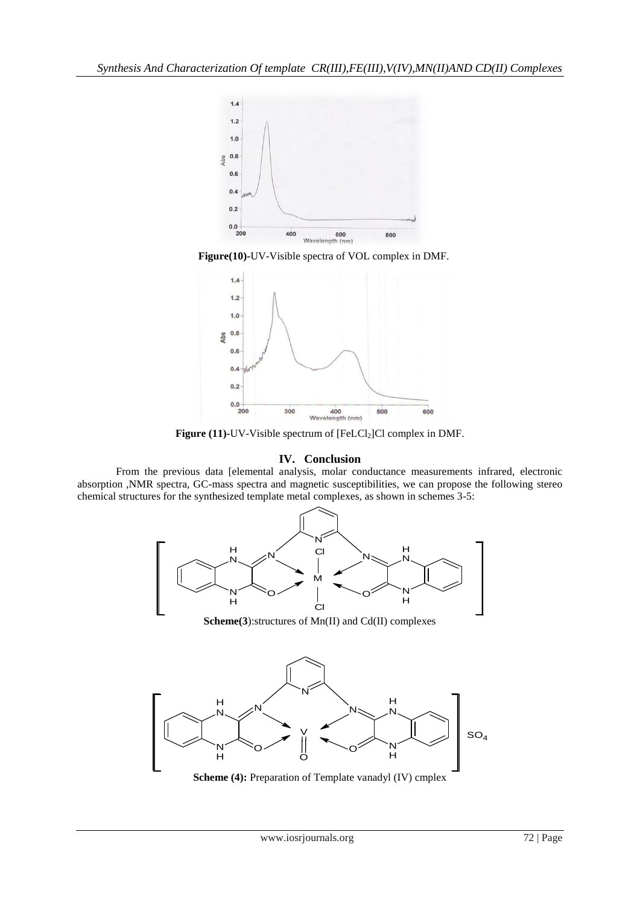





**Figure (11)-UV-Visible spectrum of [FeLCl<sub>2</sub>]Cl complex in DMF.** 

## **IV. Conclusion**

From the previous data [elemental analysis, molar conductance measurements infrared, electronic absorption ,NMR spectra, GC-mass spectra and magnetic susceptibilities, we can propose the following stereo chemical structures for the synthesized template metal complexes, as shown in schemes 3-5:



**Scheme(3**):structures of Mn(II) and Cd(II) complexes



**Scheme (4):** Preparation of Template vanadyl (IV) cmplex